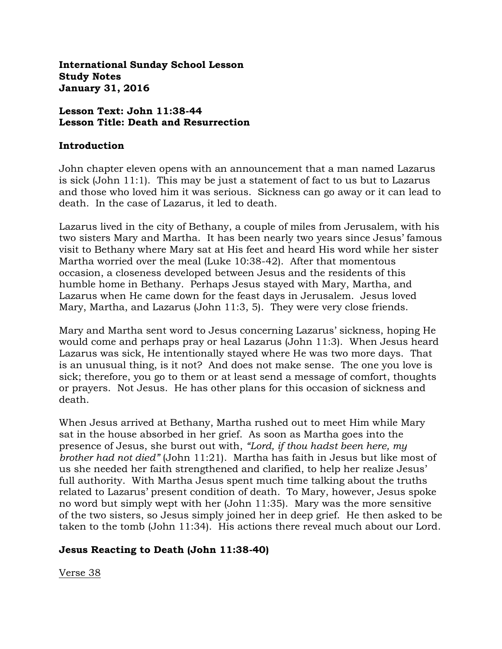**International Sunday School Lesson Study Notes January 31, 2016**

# **Lesson Text: John 11:38-44 Lesson Title: Death and Resurrection**

#### **Introduction**

John chapter eleven opens with an announcement that a man named Lazarus is sick (John 11:1). This may be just a statement of fact to us but to Lazarus and those who loved him it was serious. Sickness can go away or it can lead to death. In the case of Lazarus, it led to death.

Lazarus lived in the city of Bethany, a couple of miles from Jerusalem, with his two sisters Mary and Martha. It has been nearly two years since Jesus' famous visit to Bethany where Mary sat at His feet and heard His word while her sister Martha worried over the meal (Luke 10:38-42). After that momentous occasion, a closeness developed between Jesus and the residents of this humble home in Bethany. Perhaps Jesus stayed with Mary, Martha, and Lazarus when He came down for the feast days in Jerusalem. Jesus loved Mary, Martha, and Lazarus (John 11:3, 5). They were very close friends.

Mary and Martha sent word to Jesus concerning Lazarus' sickness, hoping He would come and perhaps pray or heal Lazarus (John 11:3). When Jesus heard Lazarus was sick, He intentionally stayed where He was two more days. That is an unusual thing, is it not? And does not make sense. The one you love is sick; therefore, you go to them or at least send a message of comfort, thoughts or prayers. Not Jesus. He has other plans for this occasion of sickness and death.

When Jesus arrived at Bethany, Martha rushed out to meet Him while Mary sat in the house absorbed in her grief. As soon as Martha goes into the presence of Jesus, she burst out with, *"Lord, if thou hadst been here, my brother had not died"* (John 11:21). Martha has faith in Jesus but like most of us she needed her faith strengthened and clarified, to help her realize Jesus' full authority. With Martha Jesus spent much time talking about the truths related to Lazarus' present condition of death. To Mary, however, Jesus spoke no word but simply wept with her (John 11:35). Mary was the more sensitive of the two sisters, so Jesus simply joined her in deep grief. He then asked to be taken to the tomb (John 11:34). His actions there reveal much about our Lord.

# **Jesus Reacting to Death (John 11:38-40)**

Verse 38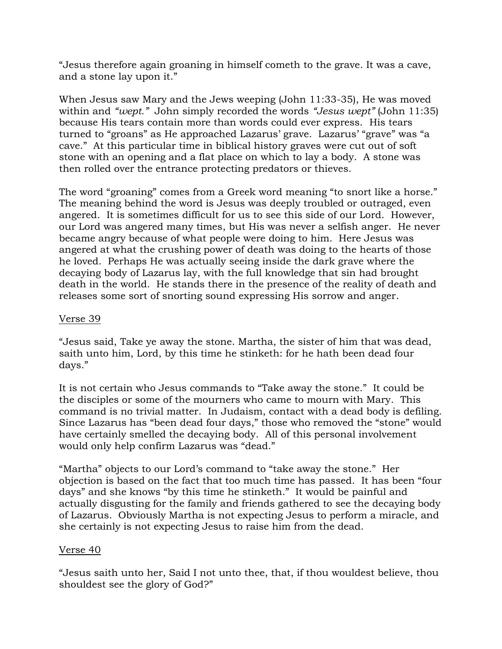"Jesus therefore again groaning in himself cometh to the grave. It was a cave, and a stone lay upon it."

When Jesus saw Mary and the Jews weeping (John 11:33-35), He was moved within and *"wept."* John simply recorded the words *"Jesus wept"* (John 11:35) because His tears contain more than words could ever express. His tears turned to "groans" as He approached Lazarus' grave. Lazarus' "grave" was "a cave." At this particular time in biblical history graves were cut out of soft stone with an opening and a flat place on which to lay a body. A stone was then rolled over the entrance protecting predators or thieves.

The word "groaning" comes from a Greek word meaning "to snort like a horse." The meaning behind the word is Jesus was deeply troubled or outraged, even angered. It is sometimes difficult for us to see this side of our Lord. However, our Lord was angered many times, but His was never a selfish anger. He never became angry because of what people were doing to him. Here Jesus was angered at what the crushing power of death was doing to the hearts of those he loved. Perhaps He was actually seeing inside the dark grave where the decaying body of Lazarus lay, with the full knowledge that sin had brought death in the world. He stands there in the presence of the reality of death and releases some sort of snorting sound expressing His sorrow and anger.

# Verse 39

"Jesus said, Take ye away the stone. Martha, the sister of him that was dead, saith unto him, Lord, by this time he stinketh: for he hath been dead four days."

It is not certain who Jesus commands to "Take away the stone." It could be the disciples or some of the mourners who came to mourn with Mary. This command is no trivial matter. In Judaism, contact with a dead body is defiling. Since Lazarus has "been dead four days," those who removed the "stone" would have certainly smelled the decaying body. All of this personal involvement would only help confirm Lazarus was "dead."

"Martha" objects to our Lord's command to "take away the stone." Her objection is based on the fact that too much time has passed. It has been "four days" and she knows "by this time he stinketh." It would be painful and actually disgusting for the family and friends gathered to see the decaying body of Lazarus. Obviously Martha is not expecting Jesus to perform a miracle, and she certainly is not expecting Jesus to raise him from the dead.

# Verse 40

"Jesus saith unto her, Said I not unto thee, that, if thou wouldest believe, thou shouldest see the glory of God?"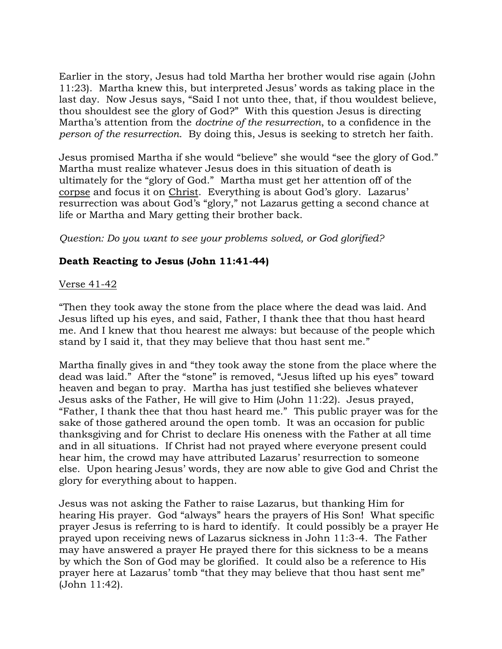Earlier in the story, Jesus had told Martha her brother would rise again (John 11:23). Martha knew this, but interpreted Jesus' words as taking place in the last day. Now Jesus says, "Said I not unto thee, that, if thou wouldest believe, thou shouldest see the glory of God?" With this question Jesus is directing Martha's attention from the *doctrine of the resurrection*, to a confidence in the *person of the resurrection*. By doing this, Jesus is seeking to stretch her faith.

Jesus promised Martha if she would "believe" she would "see the glory of God." Martha must realize whatever Jesus does in this situation of death is ultimately for the "glory of God." Martha must get her attention off of the corpse and focus it on Christ. Everything is about God's glory. Lazarus' resurrection was about God's "glory," not Lazarus getting a second chance at life or Martha and Mary getting their brother back.

# *Question: Do you want to see your problems solved, or God glorified?*

# **Death Reacting to Jesus (John 11:41-44)**

# Verse 41-42

"Then they took away the stone from the place where the dead was laid. And Jesus lifted up his eyes, and said, Father, I thank thee that thou hast heard me. And I knew that thou hearest me always: but because of the people which stand by I said it, that they may believe that thou hast sent me."

Martha finally gives in and "they took away the stone from the place where the dead was laid." After the "stone" is removed, "Jesus lifted up his eyes" toward heaven and began to pray. Martha has just testified she believes whatever Jesus asks of the Father, He will give to Him (John 11:22). Jesus prayed, "Father, I thank thee that thou hast heard me." This public prayer was for the sake of those gathered around the open tomb. It was an occasion for public thanksgiving and for Christ to declare His oneness with the Father at all time and in all situations. If Christ had not prayed where everyone present could hear him, the crowd may have attributed Lazarus' resurrection to someone else. Upon hearing Jesus' words, they are now able to give God and Christ the glory for everything about to happen.

Jesus was not asking the Father to raise Lazarus, but thanking Him for hearing His prayer. God "always" hears the prayers of His Son! What specific prayer Jesus is referring to is hard to identify. It could possibly be a prayer He prayed upon receiving news of Lazarus sickness in John 11:3-4. The Father may have answered a prayer He prayed there for this sickness to be a means by which the Son of God may be glorified. It could also be a reference to His prayer here at Lazarus' tomb "that they may believe that thou hast sent me" (John 11:42).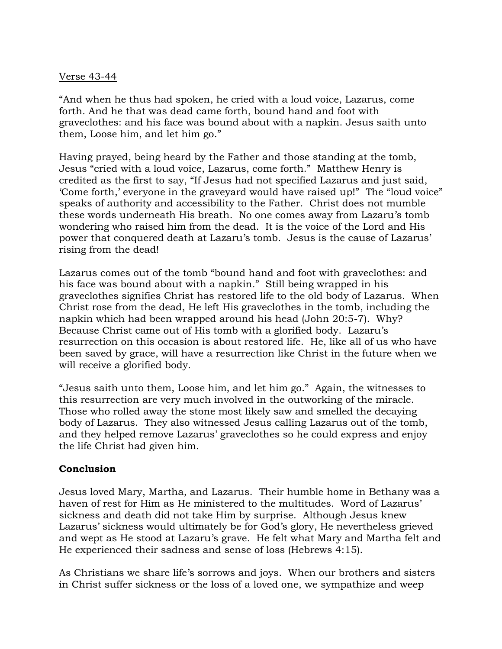#### Verse 43-44

"And when he thus had spoken, he cried with a loud voice, Lazarus, come forth. And he that was dead came forth, bound hand and foot with graveclothes: and his face was bound about with a napkin. Jesus saith unto them, Loose him, and let him go."

Having prayed, being heard by the Father and those standing at the tomb, Jesus "cried with a loud voice, Lazarus, come forth." Matthew Henry is credited as the first to say, "If Jesus had not specified Lazarus and just said, 'Come forth,' everyone in the graveyard would have raised up!" The "loud voice" speaks of authority and accessibility to the Father. Christ does not mumble these words underneath His breath. No one comes away from Lazaru's tomb wondering who raised him from the dead. It is the voice of the Lord and His power that conquered death at Lazaru's tomb. Jesus is the cause of Lazarus' rising from the dead!

Lazarus comes out of the tomb "bound hand and foot with graveclothes: and his face was bound about with a napkin." Still being wrapped in his graveclothes signifies Christ has restored life to the old body of Lazarus. When Christ rose from the dead, He left His graveclothes in the tomb, including the napkin which had been wrapped around his head (John 20:5-7). Why? Because Christ came out of His tomb with a glorified body. Lazaru's resurrection on this occasion is about restored life. He, like all of us who have been saved by grace, will have a resurrection like Christ in the future when we will receive a glorified body.

"Jesus saith unto them, Loose him, and let him go." Again, the witnesses to this resurrection are very much involved in the outworking of the miracle. Those who rolled away the stone most likely saw and smelled the decaying body of Lazarus. They also witnessed Jesus calling Lazarus out of the tomb, and they helped remove Lazarus' graveclothes so he could express and enjoy the life Christ had given him.

# **Conclusion**

Jesus loved Mary, Martha, and Lazarus. Their humble home in Bethany was a haven of rest for Him as He ministered to the multitudes. Word of Lazarus' sickness and death did not take Him by surprise. Although Jesus knew Lazarus' sickness would ultimately be for God's glory, He nevertheless grieved and wept as He stood at Lazaru's grave. He felt what Mary and Martha felt and He experienced their sadness and sense of loss (Hebrews 4:15).

As Christians we share life's sorrows and joys. When our brothers and sisters in Christ suffer sickness or the loss of a loved one, we sympathize and weep